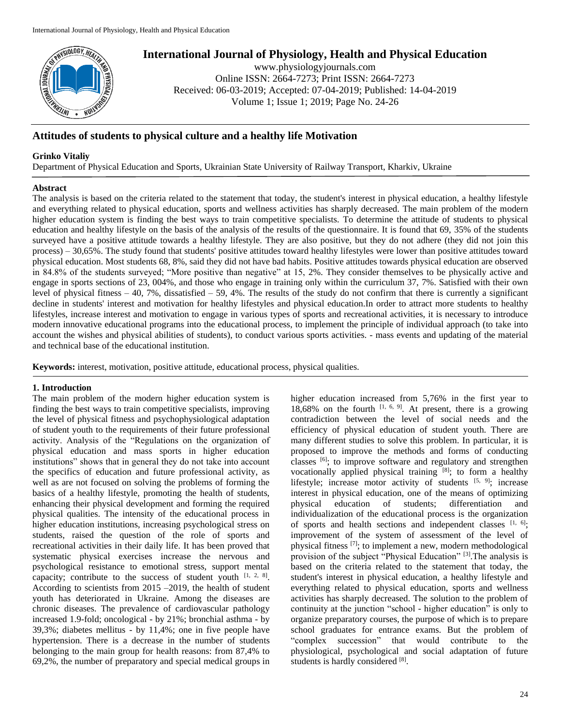

# **International Journal of Physiology, Health and Physical Education**

www.physiologyjournals.com Online ISSN: 2664-7273; Print ISSN: 2664-7273 Received: 06-03-2019; Accepted: 07-04-2019; Published: 14-04-2019 Volume 1; Issue 1; 2019; Page No. 24-26

# **Attitudes of students to physical culture and a healthy life Motivation**

## **Grinko Vitaliy**

Department of Physical Education and Sports, Ukrainian State University of Railway Transport, Kharkiv, Ukraine

#### **Abstract**

The analysis is based on the criteria related to the statement that today, the student's interest in physical education, a healthy lifestyle and everything related to physical education, sports and wellness activities has sharply decreased. The main problem of the modern higher education system is finding the best ways to train competitive specialists. To determine the attitude of students to physical education and healthy lifestyle on the basis of the analysis of the results of the questionnaire. It is found that 69, 35% of the students surveyed have a positive attitude towards a healthy lifestyle. They are also positive, but they do not adhere (they did not join this process) – 30,65%. The study found that students' positive attitudes toward healthy lifestyles were lower than positive attitudes toward physical education. Most students 68, 8%, said they did not have bad habits. Positive attitudes towards physical education are observed in 84.8% of the students surveyed; "More positive than negative" at 15, 2%. They consider themselves to be physically active and engage in sports sections of 23, 004%, and those who engage in training only within the curriculum 37, 7%. Satisfied with their own level of physical fitness  $-40$ , 7%, dissatisfied  $-59$ , 4%. The results of the study do not confirm that there is currently a significant decline in students' interest and motivation for healthy lifestyles and physical education.In order to attract more students to healthy lifestyles, increase interest and motivation to engage in various types of sports and recreational activities, it is necessary to introduce modern innovative educational programs into the educational process, to implement the principle of individual approach (to take into account the wishes and physical abilities of students), to conduct various sports activities. - mass events and updating of the material and technical base of the educational institution.

**Keywords:** interest, motivation, positive attitude, educational process, physical qualities.

### **1. Introduction**

The main problem of the modern higher education system is finding the best ways to train competitive specialists, improving the level of physical fitness and psychophysiological adaptation of student youth to the requirements of their future professional activity. Analysis of the "Regulations on the organization of physical education and mass sports in higher education institutions" shows that in general they do not take into account the specifics of education and future professional activity, as well as are not focused on solving the problems of forming the basics of a healthy lifestyle, promoting the health of students, enhancing their physical development and forming the required physical qualities. The intensity of the educational process in higher education institutions, increasing psychological stress on students, raised the question of the role of sports and recreational activities in their daily life. It has been proved that systematic physical exercises increase the nervous and psychological resistance to emotional stress, support mental capacity; contribute to the success of student youth  $[1, 2, 8]$ . According to scientists from 2015 –2019, the health of student youth has deteriorated in Ukraine. Among the diseases are chronic diseases. The prevalence of cardiovascular pathology increased 1.9-fold; oncological - by 21%; bronchial asthma - by 39,3%; diabetes mellitus - by 11,4%; one in five people have hypertension. There is a decrease in the number of students belonging to the main group for health reasons: from 87,4% to 69,2%, the number of preparatory and special medical groups in higher education increased from 5,76% in the first year to 18,68% on the fourth  $[1, 6, 9]$ . At present, there is a growing contradiction between the level of social needs and the efficiency of physical education of student youth. There are many different studies to solve this problem. In particular, it is proposed to improve the methods and forms of conducting classes [6]; to improve software and regulatory and strengthen vocationally applied physical training [8]; to form a healthy lifestyle; increase motor activity of students  $[5, 9]$ ; increase interest in physical education, one of the means of optimizing physical education of students; differentiation and individualization of the educational process is the organization of sports and health sections and independent classes  $[1, 6]$ ; improvement of the system of assessment of the level of physical fitness [7]; to implement a new, modern methodological provision of the subject "Physical Education" [3].The analysis is based on the criteria related to the statement that today, the student's interest in physical education, a healthy lifestyle and everything related to physical education, sports and wellness activities has sharply decreased. The solution to the problem of continuity at the junction "school - higher education" is only to organize preparatory courses, the purpose of which is to prepare school graduates for entrance exams. But the problem of "complex succession" that would contribute to the physiological, psychological and social adaptation of future students is hardly considered [8].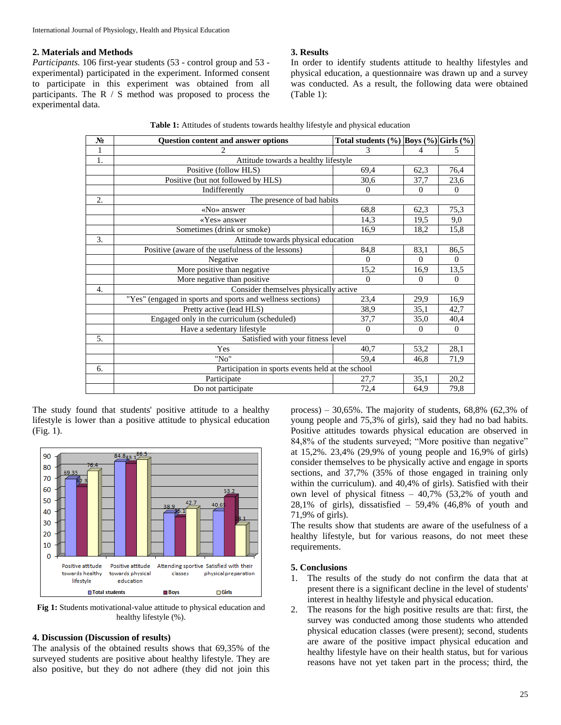#### **2. Materials and Methods**

*Participants.* 106 first-year students (53 - control group and 53 experimental) participated in the experiment. Informed consent to participate in this experiment was obtained from all participants. The R / S method was proposed to process the experimental data.

#### **3. Results**

In order to identify students attitude to healthy lifestyles and physical education, a questionnaire was drawn up and a survey was conducted. As a result, the following data were obtained (Table 1):

| $N_2$ | <b>Ouestion content and answer options</b>                 | Total students $(\%)$ Boys $(\%)$ Girls $(\%)$ |              |          |
|-------|------------------------------------------------------------|------------------------------------------------|--------------|----------|
| 1     | $\mathfrak{D}$                                             | 3                                              | 4            | 5        |
| 1.    | Attitude towards a healthy lifestyle                       |                                                |              |          |
|       | Positive (follow HLS)                                      | 69,4                                           | 62,3         | 76,4     |
|       | Positive (but not followed by HLS)                         | 30,6                                           | 37,7         | 23,6     |
|       | Indifferently                                              | $\Omega$                                       | $\mathbf{0}$ | $\Omega$ |
| 2.    | The presence of bad habits                                 |                                                |              |          |
|       | «No» answer                                                | 68,8                                           | 62,3         | 75,3     |
|       | «Yes» answer                                               | 14,3                                           | 19,5         | 9,0      |
|       | Sometimes (drink or smoke)                                 | 16,9                                           | 18,2         | 15,8     |
| 3.    | Attitude towards physical education                        |                                                |              |          |
|       | Positive (aware of the usefulness of the lessons)          | 84,8                                           | 83,1         | 86,5     |
|       | Negative                                                   | $\Omega$                                       | $\Omega$     | $\Omega$ |
|       | More positive than negative                                | 15,2                                           | 16,9         | 13,5     |
|       | More negative than positive.                               | $\Omega$                                       | $\mathbf{0}$ | $\Omega$ |
| 4.    | Consider themselves physically active                      |                                                |              |          |
|       | "Yes" (engaged in sports and sports and wellness sections) | 23,4                                           | 29,9         | 16,9     |
|       | Pretty active (lead HLS)                                   | 38,9                                           | 35,1         | 42,7     |
|       | Engaged only in the curriculum (scheduled)                 | 37,7                                           | 35,0         | 40,4     |
|       | Have a sedentary lifestyle                                 | $\mathbf{0}$                                   | $\Omega$     | $\Omega$ |
| 5.    | Satisfied with your fitness level                          |                                                |              |          |
|       | Yes                                                        | 40,7                                           | 53,2         | 28,1     |
|       | "No"                                                       | 59,4                                           | 46,8         | 71,9     |
| 6.    | Participation in sports events held at the school          |                                                |              |          |
|       | Participate                                                | 27,7                                           | 35,1         | 20,2     |
|       | Do not participate                                         | 72,4                                           | 64,9         | 79,8     |

The study found that students' positive attitude to a healthy lifestyle is lower than a positive attitude to physical education (Fig. 1).



**Fig 1:** Students motivational-value attitude to physical education and healthy lifestyle (%).

#### **4. Discussion (Discussion of results)**

The analysis of the obtained results shows that 69,35% of the surveyed students are positive about healthy lifestyle. They are also positive, but they do not adhere (they did not join this

process) –  $30,65\%$ . The majority of students,  $68,8\%$   $(62,3\%$  of young people and 75,3% of girls), said they had no bad habits. Positive attitudes towards physical education are observed in 84,8% of the students surveyed; "More positive than negative" at 15,2%. 23,4% (29,9% of young people and 16,9% of girls) consider themselves to be physically active and engage in sports sections, and 37,7% (35% of those engaged in training only within the curriculum). and 40,4% of girls). Satisfied with their own level of physical fitness – 40,7% (53,2% of youth and  $28.1\%$  of girls), dissatisfied – 59,4% (46,8% of youth and 71,9% of girls).

The results show that students are aware of the usefulness of a healthy lifestyle, but for various reasons, do not meet these requirements.

#### **5. Conclusions**

- 1. The results of the study do not confirm the data that at present there is a significant decline in the level of students' interest in healthy lifestyle and physical education.
- 2. The reasons for the high positive results are that: first, the survey was conducted among those students who attended physical education classes (were present); second, students are aware of the positive impact physical education and healthy lifestyle have on their health status, but for various reasons have not yet taken part in the process; third, the